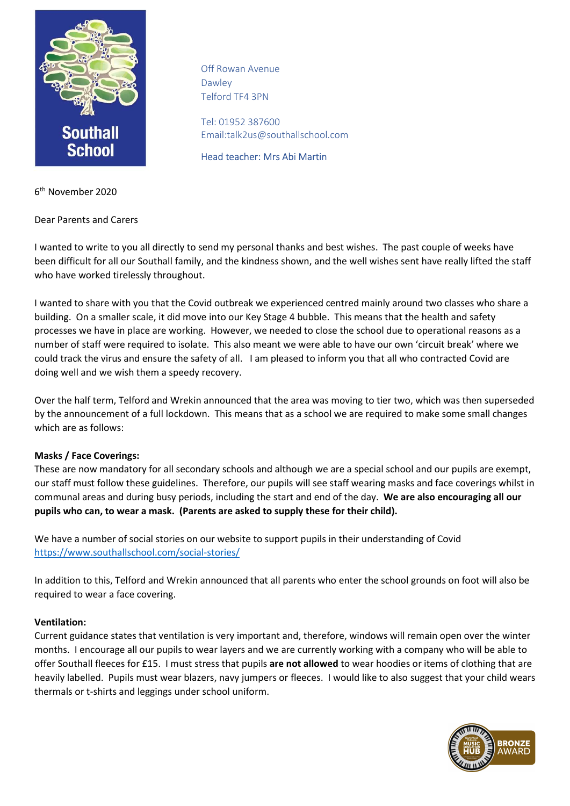

Off Rowan Avenue Dawley Telford TF4 3PN

Tel: 01952 387600 Email:talk2us@southallschool.com

Head teacher: Mrs Abi Martin

6 th November 2020

Dear Parents and Carers

I wanted to write to you all directly to send my personal thanks and best wishes. The past couple of weeks have been difficult for all our Southall family, and the kindness shown, and the well wishes sent have really lifted the staff who have worked tirelessly throughout.

I wanted to share with you that the Covid outbreak we experienced centred mainly around two classes who share a building. On a smaller scale, it did move into our Key Stage 4 bubble. This means that the health and safety processes we have in place are working. However, we needed to close the school due to operational reasons as a number of staff were required to isolate. This also meant we were able to have our own 'circuit break' where we could track the virus and ensure the safety of all. I am pleased to inform you that all who contracted Covid are doing well and we wish them a speedy recovery.

Over the half term, Telford and Wrekin announced that the area was moving to tier two, which was then superseded by the announcement of a full lockdown. This means that as a school we are required to make some small changes which are as follows:

## Masks / Face Coverings:

These are now mandatory for all secondary schools and although we are a special school and our pupils are exempt, our staff must follow these guidelines. Therefore, our pupils will see staff wearing masks and face coverings whilst in communal areas and during busy periods, including the start and end of the day. We are also encouraging all our pupils who can, to wear a mask. (Parents are asked to supply these for their child).

We have a number of social stories on our website to support pupils in their understanding of Covid https://www.southallschool.com/social-stories/

In addition to this, Telford and Wrekin announced that all parents who enter the school grounds on foot will also be required to wear a face covering.

## Ventilation:

Current guidance states that ventilation is very important and, therefore, windows will remain open over the winter months. I encourage all our pupils to wear layers and we are currently working with a company who will be able to offer Southall fleeces for £15. I must stress that pupils are not allowed to wear hoodies or items of clothing that are heavily labelled. Pupils must wear blazers, navy jumpers or fleeces. I would like to also suggest that your child wears thermals or t-shirts and leggings under school uniform.